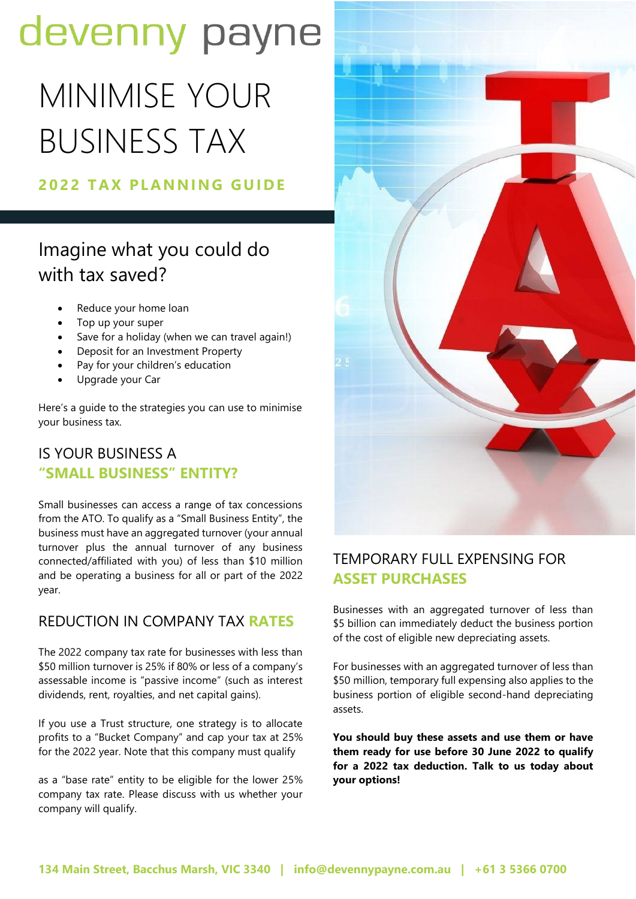## devenny payne

# MINIMISE YOUR BUSINESS TAX

#### **202 2 T AX PL AN N I N G GU I DE**

### Imagine what you could do with tax saved?

- Reduce your home loan
- Top up your super
- Save for a holiday (when we can travel again!)
- Deposit for an Investment Property
- Pay for your children's education
- Upgrade your Car

Here's a guide to the strategies you can use to minimise your business tax.

#### IS YOUR BUSINESS A **"SMALL BUSINESS" ENTITY?**

Small businesses can access a range of tax concessions from the ATO. To qualify as a "Small Business Entity", the business must have an aggregated turnover (your annual turnover plus the annual turnover of any business connected/affiliated with you) of less than \$10 million and be operating a business for all or part of the 2022 year.

#### REDUCTION IN COMPANY TAX **RATES**

The 2022 company tax rate for businesses with less than \$50 million turnover is 25% if 80% or less of a company's assessable income is "passive income" (such as interest dividends, rent, royalties, and net capital gains).

If you use a Trust structure, one strategy is to allocate profits to a "Bucket Company" and cap your tax at 25% for the 2022 year. Note that this company must qualify

as a "base rate" entity to be eligible for the lower 25% company tax rate. Please discuss with us whether your company will qualify.



#### TEMPORARY FULL EXPENSING FOR **ASSET PURCHASES**

Businesses with an aggregated turnover of less than \$5 billion can immediately deduct the business portion of the cost of eligible new depreciating assets.

For businesses with an aggregated turnover of less than \$50 million, temporary full expensing also applies to the business portion of eligible second-hand depreciating assets.

**You should buy these assets and use them or have them ready for use before 30 June 2022 to qualify for a 2022 tax deduction. Talk to us today about your options!**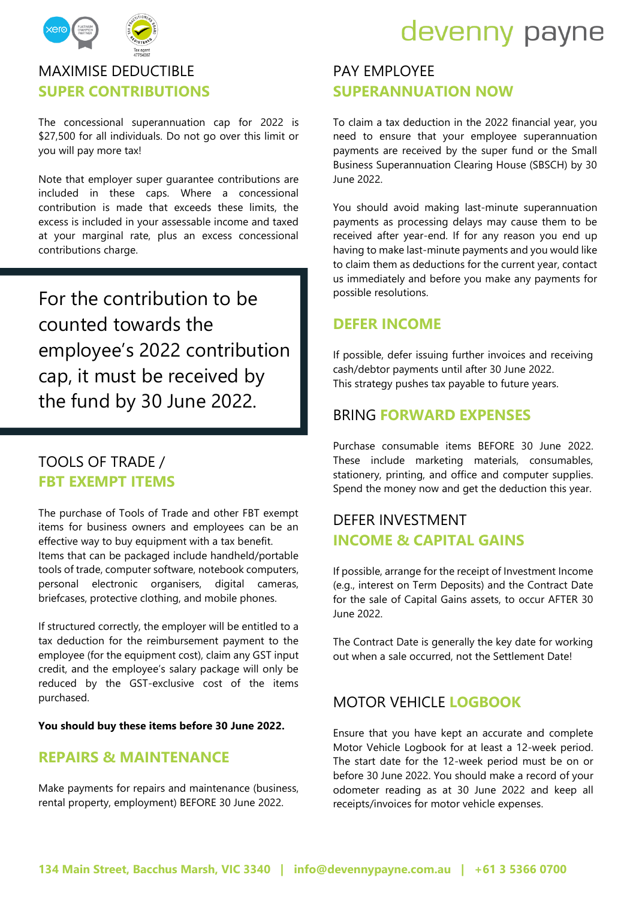

### MAXIMISE DEDUCTIBLE **SUPER CONTRIBUTIONS**

The concessional superannuation cap for 2022 is \$27,500 for all individuals. Do not go over this limit or you will pay more tax!

Note that employer super guarantee contributions are included in these caps. Where a concessional contribution is made that exceeds these limits, the excess is included in your assessable income and taxed at your marginal rate, plus an excess concessional contributions charge.

For the contribution to be counted towards the employee's 2022 contribution cap, it must be received by the fund by 30 June 2022.

#### TOOLS OF TRADE / **FBT EXEMPT ITEMS**

The purchase of Tools of Trade and other FBT exempt items for business owners and employees can be an effective way to buy equipment with a tax benefit. Items that can be packaged include handheld/portable tools of trade, computer software, notebook computers, personal electronic organisers, digital cameras, briefcases, protective clothing, and mobile phones.

If structured correctly, the employer will be entitled to a tax deduction for the reimbursement payment to the employee (for the equipment cost), claim any GST input credit, and the employee's salary package will only be reduced by the GST-exclusive cost of the items purchased.

**You should buy these items before 30 June 2022.**

#### **REPAIRS & MAINTENANCE**

Make payments for repairs and maintenance (business, rental property, employment) BEFORE 30 June 2022.



#### PAY EMPLOYEE **SUPERANNUATION NOW**

To claim a tax deduction in the 2022 financial year, you need to ensure that your employee superannuation payments are received by the super fund or the Small Business Superannuation Clearing House (SBSCH) by 30 June 2022.

You should avoid making last-minute superannuation payments as processing delays may cause them to be received after year-end. If for any reason you end up having to make last-minute payments and you would like to claim them as deductions for the current year, contact us immediately and before you make any payments for possible resolutions.

#### **DEFER INCOME**

If possible, defer issuing further invoices and receiving cash/debtor payments until after 30 June 2022. This strategy pushes tax payable to future years.

#### BRING **FORWARD EXPENSES**

Purchase consumable items BEFORE 30 June 2022. These include marketing materials, consumables, stationery, printing, and office and computer supplies. Spend the money now and get the deduction this year.

#### DEFER INVESTMENT **INCOME & CAPITAL GAINS**

If possible, arrange for the receipt of Investment Income (e.g., interest on Term Deposits) and the Contract Date for the sale of Capital Gains assets, to occur AFTER 30 June 2022.

The Contract Date is generally the key date for working out when a sale occurred, not the Settlement Date!

#### MOTOR VEHICLE **LOGBOOK**

Ensure that you have kept an accurate and complete Motor Vehicle Logbook for at least a 12-week period. The start date for the 12-week period must be on or before 30 June 2022. You should make a record of your odometer reading as at 30 June 2022 and keep all receipts/invoices for motor vehicle expenses.